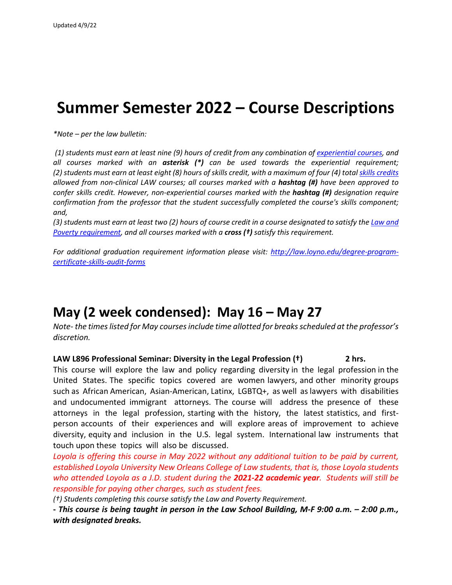# **Summer Semester 2022 – Course Descriptions**

*\*Note – per the law bulletin:* 

*(1) students must earn at least nine (9) hours of credit from any combination of [experiential courses,](https://lawbulletin.loyno.edu/regulations/academic-regulations#Experiential%20Requirement) and all courses marked with an asterisk (\*) can be used towards the experiential requirement; (2) students must earn at least eight (8) hours of skills credit, with a maximum of four (4) total [skills credits](http://lawbulletin.loyno.edu/skills-curriculum) allowed from non-clinical LAW courses; all courses marked with a hashtag (#) have been approved to confer skills credit. However, non-experiential courses marked with the hashtag (#) designation require confirmation from the professor that the student successfully completed the course's skills component; and,*

*(3) students must earn at least two (2) hours of course credit in a course designated to satisfy th[e Law and](https://lawbulletin.loyno.edu/regulations/academic-regulations#Law%20and%20Poverty%20Requirement)  [Poverty requirement,](https://lawbulletin.loyno.edu/regulations/academic-regulations#Law%20and%20Poverty%20Requirement) and all courses marked with a cross (†) satisfy this requirement.* 

*For additional graduation requirement information please visit: [http://law.loyno.edu/degree-program](http://law.loyno.edu/degree-program-certificate-skills-audit-forms)[certificate-skills-audit-forms](http://law.loyno.edu/degree-program-certificate-skills-audit-forms)*

## **May (2 week condensed): May 16 – May 27**

*Note- the times listed for May courses include time allotted for breaks scheduled at the professor's discretion.* 

### **LAW L896 Professional Seminar: Diversity in the Legal Profession (†) 2 hrs.**

This course will explore the law and policy regarding diversity in the legal profession in the United States. The specific topics covered are women lawyers, and other minority groups such as African American, Asian-American, Latinx, LGBTQ+, as well as lawyers with disabilities and undocumented immigrant attorneys. The course will address the presence of these attorneys in the legal profession, starting with the history, the latest statistics, and firstperson accounts of their experiences and will explore areas of improvement to achieve diversity, equity and inclusion in the U.S. legal system. International law instruments that touch upon these topics will also be discussed.

*Loyola is offering this course in May 2022 without any additional tuition to be paid by current, established Loyola University New Orleans College of Law students, that is, those Loyola students who attended Loyola as a J.D. student during the 2021-22 academic year. Students will still be responsible for paying other charges, such as student fees.*

*(†) Students completing this course satisfy the Law and Poverty Requirement.*

**-** *This course is being taught in person in the Law School Building, M-F 9:00 a.m. – 2:00 p.m., with designated breaks.*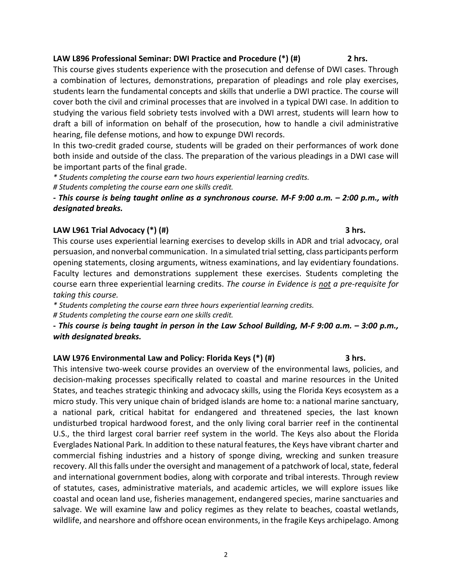### **LAW L896 Professional Seminar: DWI Practice and Procedure (\*) (#) 2 hrs.**

This course gives students experience with the prosecution and defense of DWI cases. Through a combination of lectures, demonstrations, preparation of pleadings and role play exercises, students learn the fundamental concepts and skills that underlie a DWI practice. The course will cover both the civil and criminal processes that are involved in a typical DWI case. In addition to studying the various field sobriety tests involved with a DWI arrest, students will learn how to draft a bill of information on behalf of the prosecution, how to handle a civil administrative hearing, file defense motions, and how to expunge DWI records.

In this two-credit graded course, students will be graded on their performances of work done both inside and outside of the class. The preparation of the various pleadings in a DWI case will be important parts of the final grade.

*\* Students completing the course earn two hours experiential learning credits.*

*# Students completing the course earn one skills credit.*

*- This course is being taught online as a synchronous course. M-F 9:00 a.m. – 2:00 p.m., with designated breaks.*

### **LAW L961 Trial Advocacy (\*) (#) 3 hrs.**

This course uses experiential learning exercises to develop skills in ADR and trial advocacy, oral persuasion, and nonverbal communication. In a simulated trial setting, class participants perform opening statements, closing arguments, witness examinations, and lay evidentiary foundations. Faculty lectures and demonstrations supplement these exercises. Students completing the course earn three experiential learning credits. *The course in Evidence is not a pre-requisite for taking this course.* 

*\* Students completing the course earn three hours experiential learning credits.*

*# Students completing the course earn one skills credit.*

**-** *This course is being taught in person in the Law School Building, M-F 9:00 a.m. – 3:00 p.m., with designated breaks.*

### **LAW L976 Environmental Law and Policy: Florida Keys (\*) (#) 3 hrs.**

This intensive two-week course provides an overview of the environmental laws, policies, and decision-making processes specifically related to coastal and marine resources in the United States, and teaches strategic thinking and advocacy skills, using the Florida Keys ecosystem as a micro study. This very unique chain of bridged islands are home to: a national marine sanctuary, a national park, critical habitat for endangered and threatened species, the last known undisturbed tropical hardwood forest, and the only living coral barrier reef in the continental U.S., the third largest coral barrier reef system in the world. The Keys also about the Florida Everglades National Park. In addition to these natural features, the Keys have vibrant charter and commercial fishing industries and a history of sponge diving, wrecking and sunken treasure recovery. All this falls under the oversight and management of a patchwork of local, state, federal and international government bodies, along with corporate and tribal interests. Through review of statutes, cases, administrative materials, and academic articles, we will explore issues like coastal and ocean land use, fisheries management, endangered species, marine sanctuaries and salvage. We will examine law and policy regimes as they relate to beaches, coastal wetlands, wildlife, and nearshore and offshore ocean environments, in the fragile Keys archipelago. Among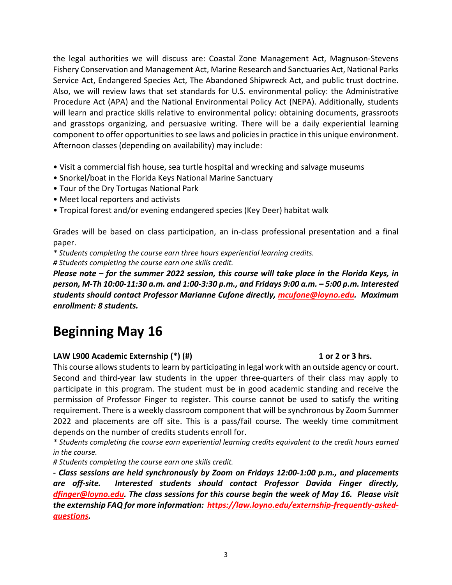the legal authorities we will discuss are: Coastal Zone Management Act, Magnuson-Stevens Fishery Conservation and Management Act, Marine Research and Sanctuaries Act, National Parks Service Act, Endangered Species Act, The Abandoned Shipwreck Act, and public trust doctrine. Also, we will review laws that set standards for U.S. environmental policy: the Administrative Procedure Act (APA) and the National Environmental Policy Act (NEPA). Additionally, students will learn and practice skills relative to environmental policy: obtaining documents, grassroots and grasstops organizing, and persuasive writing. There will be a daily experiential learning component to offer opportunities to see laws and policies in practice in this unique environment. Afternoon classes (depending on availability) may include:

- Visit a commercial fish house, sea turtle hospital and wrecking and salvage museums
- Snorkel/boat in the Florida Keys National Marine Sanctuary
- Tour of the Dry Tortugas National Park
- Meet local reporters and activists
- Tropical forest and/or evening endangered species (Key Deer) habitat walk

Grades will be based on class participation, an in-class professional presentation and a final paper.

*\* Students completing the course earn three hours experiential learning credits. # Students completing the course earn one skills credit.*

*Please note – for the summer 2022 session, this course will take place in the Florida Keys, in person, M-Th 10:00-11:30 a.m. and 1:00-3:30 p.m., and Fridays 9:00 a.m. – 5:00 p.m. Interested students should contact Professor Marianne Cufone directly, [mcufone@loyno.edu.](mailto:mcufone@loyno.eduf) Maximum enrollment: 8 students.*

## **Beginning May 16**

### **LAW L900 Academic Externship (\*) (#) 1 or 2 or 3 hrs.**

This course allows students to learn by participating in legal work with an outside agency or court. Second and third-year law students in the upper three-quarters of their class may apply to participate in this program. The student must be in good academic standing and receive the permission of Professor Finger to register. This course cannot be used to satisfy the writing requirement. There is a weekly classroom component that will be synchronous by Zoom Summer 2022 and placements are off site. This is a pass/fail course. The weekly time commitment depends on the number of credits students enroll for.

*\* Students completing the course earn experiential learning credits equivalent to the credit hours earned in the course.*

*# Students completing the course earn one skills credit.*

*- Class sessions are held synchronously by Zoom on Fridays 12:00-1:00 p.m., and placements are off-site. Interested students should contact Professor Davida Finger directly, [dfinger@loyno.edu.](mailto:dfinger@loyno.edu) The class sessions for this course begin the week of May 16. Please visit the externship FAQ for more information: [https://law.loyno.edu/externship-frequently-asked](https://law.loyno.edu/externship-frequently-asked-questions)[questions.](https://law.loyno.edu/externship-frequently-asked-questions)*